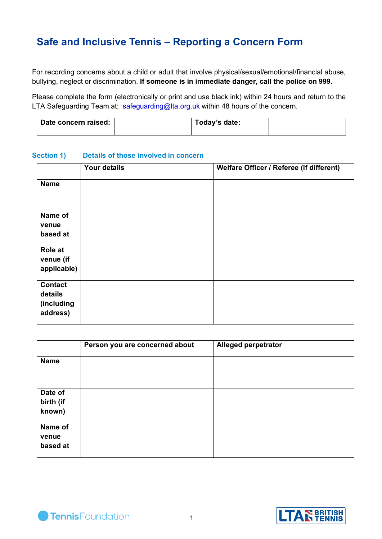# **Safe and Inclusive Tennis – Reporting a Concern Form**

For recording concerns about a child or adult that involve physical/sexual/emotional/financial abuse, bullying, neglect or discrimination. **If someone is in immediate danger, call the police on 999.**

Please complete the form (electronically or print and use black ink) within 24 hours and return to the LTA Safeguarding Team at: safeguarding@lta.org.uk within 48 hours of the concern.

| Date concern raised: | Today's date: |  |
|----------------------|---------------|--|
|                      |               |  |

#### **Section 1) Details of those involved in concern**

|                                                     | <b>Your details</b> | Welfare Officer / Referee (if different) |
|-----------------------------------------------------|---------------------|------------------------------------------|
| <b>Name</b>                                         |                     |                                          |
| Name of<br>venue<br>based at                        |                     |                                          |
| <b>Role at</b><br>venue (if<br>applicable)          |                     |                                          |
| <b>Contact</b><br>details<br>(including<br>address) |                     |                                          |

|                                | Person you are concerned about | <b>Alleged perpetrator</b> |
|--------------------------------|--------------------------------|----------------------------|
| <b>Name</b>                    |                                |                            |
| Date of<br>birth (if<br>known) |                                |                            |
| Name of<br>venue<br>based at   |                                |                            |



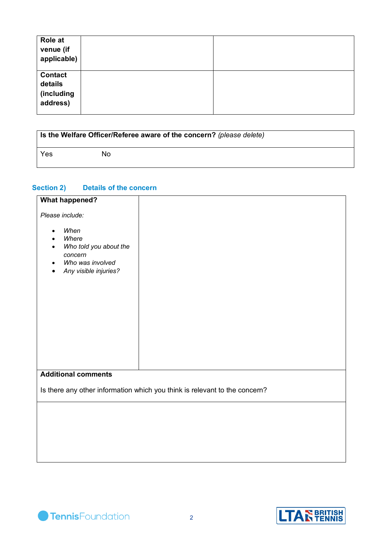| Role at<br>venue (if<br>applicable)                 |  |
|-----------------------------------------------------|--|
| <b>Contact</b><br>details<br>(including<br>address) |  |

| <b>Is the Welfare Officer/Referee aware of the concern?</b> (please delete) |    |  |
|-----------------------------------------------------------------------------|----|--|
| Yes                                                                         | Nο |  |

## **Section 2) Details of the concern**

| <b>What happened?</b>                                                                                        |                                                                            |
|--------------------------------------------------------------------------------------------------------------|----------------------------------------------------------------------------|
| Please include:                                                                                              |                                                                            |
| When<br>$\bullet$<br>Where<br>Who told you about the<br>concern<br>Who was involved<br>Any visible injuries? |                                                                            |
| <b>Additional comments</b>                                                                                   |                                                                            |
|                                                                                                              | Is there any other information which you think is relevant to the concern? |
|                                                                                                              |                                                                            |
|                                                                                                              |                                                                            |
|                                                                                                              |                                                                            |
|                                                                                                              |                                                                            |

TennisFoundation